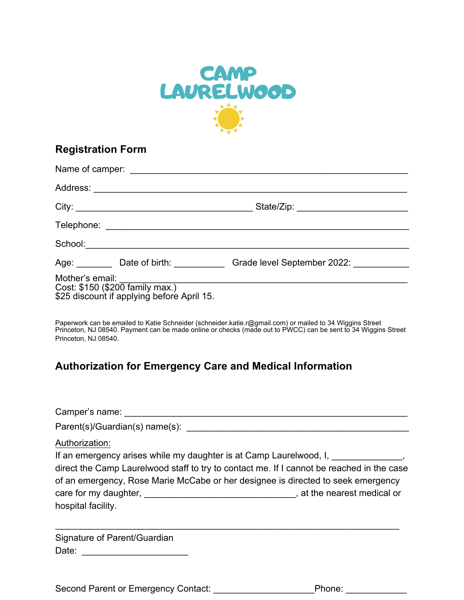

## **Registration Form**

|                                                                                                  | Age: Date of birth: Grade level September 2022: |
|--------------------------------------------------------------------------------------------------|-------------------------------------------------|
| Mother's email:<br>Cost: \$150 (\$200 family max.)<br>\$25 discount if applying before April 15. |                                                 |

Paperwork can be emailed to Katie Schneider (schneider.katie.r@gmail.com) or mailed to 34 Wiggins Street Princeton, NJ 08540. Payment can be made online or checks (made out to PWCC) can be sent to 34 Wiggins Street Princeton, NJ 08540.

## **Authorization for Emergency Care and Medical Information**

| Authorization:<br>If an emergency arises while my daughter is at Camp Laurelwood, I, 1. The many states of the merger of the merger of the merger of the merger of the merger of the merger of the merger of the merger of the merger of the mer<br>direct the Camp Laurelwood staff to try to contact me. If I cannot be reached in the case<br>of an emergency, Rose Marie McCabe or her designee is directed to seek emergency<br>hospital facility. |  |
|---------------------------------------------------------------------------------------------------------------------------------------------------------------------------------------------------------------------------------------------------------------------------------------------------------------------------------------------------------------------------------------------------------------------------------------------------------|--|
| Signature of Parent/Guardian                                                                                                                                                                                                                                                                                                                                                                                                                            |  |

Second Parent or Emergency Contact: \_\_\_\_\_\_\_\_\_\_\_\_\_\_\_\_\_\_\_\_Phone: \_\_\_\_\_\_\_\_\_\_\_\_